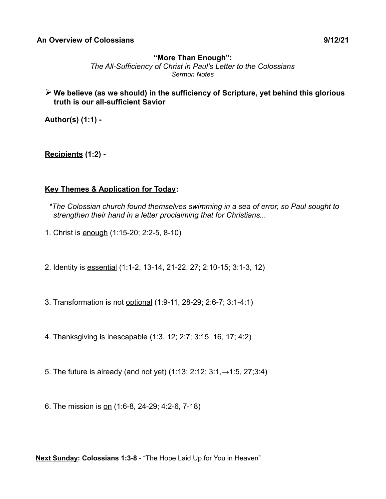## **"More Than Enough":**

*The All-Sufficiency of Christ in Paul's Letter to the Colossians Sermon Notes*

➢ **We believe (as we should) in the sufficiency of Scripture, yet behind this glorious truth is our all-sufficient Savior**

**Author(s) (1:1) -**

**Recipients (1:2) -**

## **Key Themes & Application for Today:**

- *\*The Colossian church found themselves swimming in a sea of error, so Paul sought to strengthen their hand in a letter proclaiming that for Christians...*
- 1. Christ is enough (1:15-20; 2:2-5, 8-10)
- 2. Identity is essential (1:1-2, 13-14, 21-22, 27; 2:10-15; 3:1-3, 12)
- 3. Transformation is not optional (1:9-11, 28-29; 2:6-7; 3:1-4:1)
- 4. Thanksgiving is inescapable (1:3, 12; 2:7; 3:15, 16, 17; 4:2)
- 5. The future is already (and not yet) (1:13; 2:12; 3:1,→1:5, 27;3:4)
- 6. The mission is on (1:6-8, 24-29; 4:2-6, 7-18)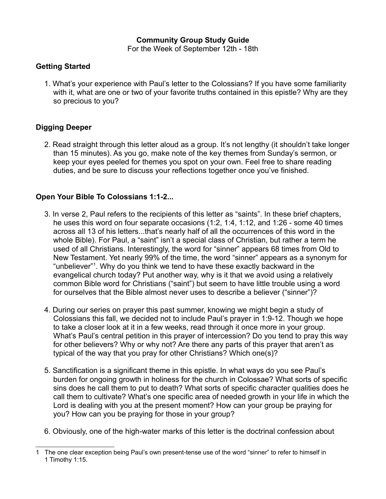### **Community Group Study Guide**

For the Week of September 12th - 18th

### **Getting Started**

1. What's your experience with Paul's letter to the Colossians? If you have some familiarity with it, what are one or two of your favorite truths contained in this epistle? Why are they so precious to you?

# **Digging Deeper**

2. Read straight through this letter aloud as a group. It's not lengthy (it shouldn't take longer than 15 minutes). As you go, make note of the key themes from Sunday's sermon, or keep your eyes peeled for themes you spot on your own. Feel free to share reading duties, and be sure to discuss your reflections together once you've finished.

## **Open Your Bible To Colossians 1:1-2...**

- 3. In verse 2, Paul refers to the recipients of this letter as "saints". In these brief chapters, he uses this word on four separate occasions (1:2, 1:4, 1:12, and 1:26 - some 40 times across all 13 of his letters...that's nearly half of all the occurrences of this word in the whole Bible). For Paul, a "saint" isn't a special class of Christian, but rather a term he used of all Christians. Interestingly, the word for "sinner" appears 68 times from Old to New Testament. Yet nearly 99% of the time, the word "sinner" appears as a synonym for "unbeliever"[1](#page-1-0) . Why do you think we tend to have these exactly backward in the evangelical church today? Put another way, why is it that we avoid using a relatively common Bible word for Christians ("saint") but seem to have little trouble using a word for ourselves that the Bible almost never uses to describe a believer ("sinner")?
- 4. During our series on prayer this past summer, knowing we might begin a study of Colossians this fall, we decided not to include Paul's prayer in 1:9-12. Though we hope to take a closer look at it in a few weeks, read through it once more in your group. What's Paul's central petition in this prayer of intercession? Do you tend to pray this way for other believers? Why or why not? Are there any parts of this prayer that aren't as typical of the way that you pray for other Christians? Which one(s)?
- 5. Sanctification is a significant theme in this epistle. In what ways do you see Paul's burden for ongoing growth in holiness for the church in Colossae? What sorts of specific sins does he call them to put to death? What sorts of specific character qualities does he call them to cultivate? What's one specific area of needed growth in your life in which the Lord is dealing with you at the present moment? How can your group be praying for you? How can you be praying for those in your group?
- 6. Obviously, one of the high-water marks of this letter is the doctrinal confession about

<span id="page-1-0"></span><sup>1</sup> The one clear exception being Paul's own present-tense use of the word "sinner" to refer to himself in 1 Timothy 1:15.